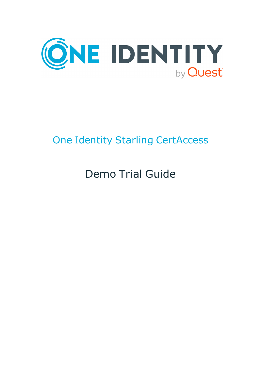

# One Identity Starling CertAccess

# Demo Trial Guide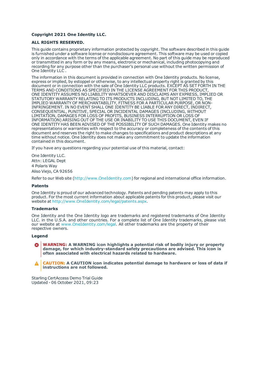#### **Copyright 2021 One Identity LLC.**

#### **ALL RIGHTS RESERVED.**

This guide contains proprietary information protected by copyright. The software described in this guide is furnished under a software license or nondisclosure agreement. This software may be used or copied only in accordance with the terms of the applicable agreement. No part of this guide may be reproduced or transmitted in any form or by any means, electronic or mechanical, including photocopying and recording for any purpose other than the purchaser's personal use without the written permission of One Identity LLC .

The information in this document is provided in connection with One Identity products. No license, express or implied, by estoppel or otherwise, to any intellectual property right is granted by this document or in connection with the sale of One Identity LLC products. EXCEPT AS SET FORTH IN THE TERMS AND CONDITIONS AS SPECIFIED IN THE LICENSE AGREEMENT FOR THIS PRODUCT, ONE IDENTITY ASSUMES NO LIABILITY WHATSOEVER AND DISCLAIMS ANY EXPRESS, IMPLIED OR STATUTORY WARRANTY RELATING TO ITS PRODUCTS INCLUDING, BUT NOT LIMITED TO, THE IMPLIED WARRANTY OF MERCHANTABILITY, FITNESS FOR A PARTICULAR PURPOSE, OR NON-INFRINGEMENT. IN NO EVENT SHALL ONE IDENTITY BE LIABLE FOR ANY DIRECT, INDIRECT, CONSEQUENTIAL, PUNITIVE, SPECIAL OR INCIDENTAL DAMAGES (INCLUDING, WITHOUT LIMITATION, DAMAGES FOR LOSS OF PROFITS, BUSINESS INTERRUPTION OR LOSS OF INFORMATION) ARISING OUT OF THE USE OR INABILITY TO USE THIS DOCUMENT, EVEN IF ONE IDENTITY HAS BEEN ADVISED OF THE POSSIBILITY OF SUCH DAMAGES. One Identity makes no representations or warranties with respect to the accuracy or completeness of the contents of this document and reserves the right to make changes to specifications and product descriptions at any time without notice. One Identity does not make any commitment to update the information contained in this document.

If you have any questions regarding your potential use of this material, contact:

One Identity LLC. Attn: LEGAL Dept 4 Polaris Way Aliso Viejo, CA 92656

Refer to our Web site ([http://www.OneIdentity.com](http://www.oneidentity.com/)) for regional and international office information.

#### **Patents**

One Identity is proud of our advanced technology. Patents and pending patents may apply to this product. For the most current information about applicable patents for this product, please visit our website at [http://www.OneIdentity.com/legal/patents.aspx](http://www.oneidentity.com/legal/patents.aspx).

#### **Trademarks**

One Identity and the One Identity logo are trademarks and registered trademarks of One Identity LLC. in the U.S.A. and other countries. For a complete list of One Identity trademarks, please visit our website at [www.OneIdentity.com/legal](http://www.oneidentity.com/legal). All other trademarks are the property of their respective owners.

#### **Legend**

**WARNING: A WARNING icon highlights a potential risk of bodily injury or property damage, for which industry-standard safety precautions are advised. This icon is often associated with electrical hazards related to hardware.**

**CAUTION: A CAUTION icon indicates potential damage to hardware or loss of data if** Δ **instructions are not followed.**

Starling CertAccess Demo Trial Guide Updated - 06 October 2021, 09:23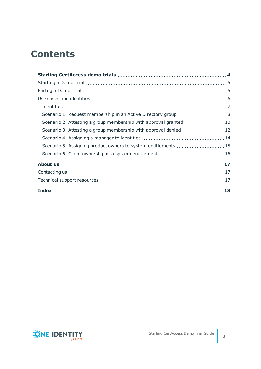# **Contents**

| Scenario 2: Attesting a group membership with approval granted  10 |  |
|--------------------------------------------------------------------|--|
|                                                                    |  |
|                                                                    |  |
| Scenario 5: Assigning product owners to system entitlements 15     |  |
|                                                                    |  |
|                                                                    |  |
|                                                                    |  |
|                                                                    |  |
|                                                                    |  |

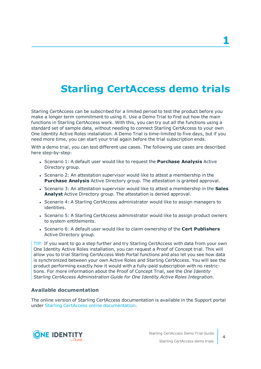# <span id="page-3-0"></span>**Starling CertAccess demo trials**

Starling CertAccess can be subscribed for a limited period to test the product before you make a longer term commitment to using it. Use a Demo Trial to find out how the main functions in Starling CertAccess work. With this, you can try out all the functions using a standard set of sample data, without needing to connect Starling CertAccess to your own One Identity Active Roles installation. A Demo Trial is time-limited to five days, but if you need more time, you can start your trial again before the trial subscription ends.

With a demo trial, you can test different use cases. The following use cases are described here step-by-step:

- <sup>l</sup> Scenario 1: A default user would like to request the **Purchase Analysis** Active Directory group.
- Scenario 2: An attestation supervisor would like to attest a membership in the **Purchase Analysis** Active Directory group. The attestation is granted approval.
- **.** Scenario 3: An attestation supervisor would like to attest a membership in the **Sales Analyst** Active Directory group. The attestation is denied approval.
- Scenario 4: A Starling CertAccess administrator would like to assign managers to identities.
- Scenario 5: A Starling CertAccess administrator would like to assign product owners to system entitlements.
- <sup>l</sup> Scenario 6: A default user would like to claim ownership of the **Cert Publishers** Active Directory group.

TIP: If you want to go a step further and try Starling CertAccess with data from your own One Identity Active Roles installation, you can request a Proof of Concept trial. This will allow you to trial Starling CertAccess Web Portal functions and also let you see how data is synchronized between your own Active Roles and Starling CertAccess. You will see the product performing exactly how it would with a fully-paid subscription with no restrictions. For more information about the Proof of Concept Trial, see the *One Identity Starling CertAccess Administration Guide for One Identity Active Roles Integration*.

#### **Available documentation**

The online version of Starling CertAccess documentation is available in the Support portal under Starling CertAccess online [documentation](https://support.oneidentity.com/starling-certaccess/hosted/technical-documents).

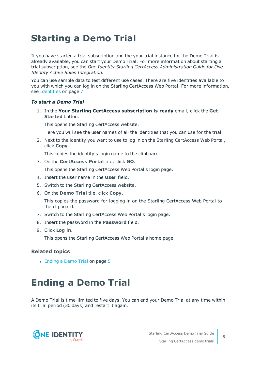# <span id="page-4-0"></span>**Starting a Demo Trial**

If you have started a trial subscription and the your trial instance for the Demo Trial is already available, you can start your Demo Trial. For more information about starting a trial subscription, see the *One Identity Starling CertAccess Administration Guide for One Identity Active Roles Integration*.

You can use sample data to test different use cases. There are five identities available to you with which you can log in on the Starling CertAccess Web Portal. For more [information,](#page-6-0) see [Identities](#page-6-0) on page 7.

#### *To start a Demo Trial*

1. In the **Your Starling CertAccess subscription is ready** email, click the **Get Started** button.

This opens the Starling CertAccess website.

Here you will see the user names of all the identities that you can use for the trial.

2. Next to the identity you want to use to log in on the Starling CertAccess Web Portal, click **Copy**.

This copies the identity's login name to the clipboard.

3. On the **CertAccess Portal** tile, click **GO**.

This opens the Starling CertAccess Web Portal's login page.

- 4. Insert the user name in the **User** field.
- 5. Switch to the Starling CertAccess website.
- 6. On the **Demo Trial** tile, click **Copy**.

This copies the password for logging in on the Starling CertAccess Web Portal to the clipboard.

- 7. Switch to the Starling CertAccess Web Portal's login page.
- 8. Insert the password in the **Password** field.
- 9. Click **Log in**.

This opens the Starling CertAccess Web Portal's home page.

#### **Related topics**

<span id="page-4-1"></span>• [Ending](#page-4-1) a Demo Trial on page 5

# **Ending a Demo Trial**

A Demo Trial is time-limited to five days, You can end your Demo Trial at any time within its trial period (30 days) and restart it again.

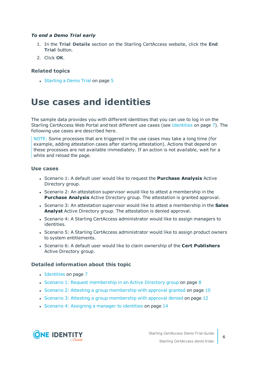#### *To end a Demo Trial early*

- 1. In the **Trial Details** section on the Starling CertAccess website, click the **End Trial** button.
- 2. Click **OK**.

#### **Related topics**

• [Starting](#page-4-0) a Demo Trial on page 5

# <span id="page-5-0"></span>**Use cases and identities**

The sample data provides you with different identities that you can use to log in on the Starling CertAccess Web Portal and test different use cases (see [Identities](#page-6-0) on page 7). The following use cases are described here.

NOTE: Some processes that are triggered in the use cases may take a long time (for example, adding attestation cases after starting attestation). Actions that depend on these processes are not available immediately. If an action is not available, wait for a while and reload the page.

#### **Use cases**

- <sup>l</sup> Scenario 1: A default user would like to request the **Purchase Analysis** Active Directory group.
- Scenario 2: An attestation supervisor would like to attest a membership in the **Purchase Analysis** Active Directory group. The attestation is granted approval.
- **.** Scenario 3: An attestation supervisor would like to attest a membership in the **Sales Analyst** Active Directory group. The attestation is denied approval.
- Scenario 4: A Starling CertAccess administrator would like to assign managers to identities.
- Scenario 5: A Starling CertAccess administrator would like to assign product owners to system entitlements.
- <sup>l</sup> Scenario 6: A default user would like to claim ownership of the **Cert Publishers** Active Directory group.

#### **Detailed information about this topic**

- [Identities](#page-6-0) on page 7
- Scenario 1: Request [membership](#page-7-0) in an Active Directory group on page 8
- Scenario 2: Attesting a group [membership](#page-9-0) with approval granted on page  $10$
- Scenario 3: Attesting a group [membership](#page-11-0) with approval denied on page 12
- Scenario 4: [Assigning](#page-13-0) a manager to identities on page 14

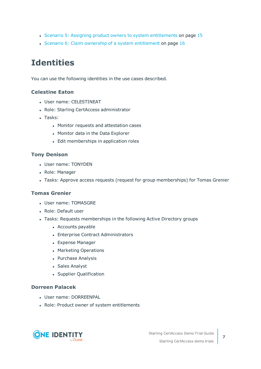- Scenario 5: Assigning product owners to system [entitlements](#page-14-0) on page 15
- Scenario 6: Claim ownership of a system [entitlement](#page-15-0) on page 16

## <span id="page-6-0"></span>**Identities**

You can use the following identities in the use cases described.

#### **Celestine Eaton**

- User name: CELESTINEAT
- Role: Starling CertAccess administrator
- Tasks:
	- Monitor requests and attestation cases
	- Monitor data in the Data Explorer
	- Edit memberships in application roles

#### **Tony Denison**

- User name: TONYDEN
- Role: Manager
- Tasks: Approve access requests (request for group memberships) for Tomas Grenier

#### **Tomas Grenier**

- User name: TOMASGRE
- Role: Default user
- Tasks: Requests memberships in the following Active Directory groups
	- Accounts payable
	- Enterprise Contract Administrators
	- Expense Manager
	- Marketing Operations
	- Purchase Analysis
	- Sales Analyst
	- Supplier Qualification

#### **Dorreen Palacek**

- User name: DORREENPAL
- Role: Product owner of system entitlements

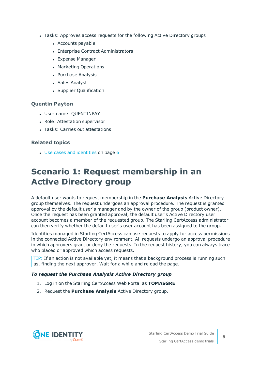- Tasks: Approves access requests for the following Active Directory groups
	- Accounts payable
	- Enterprise Contract Administrators
	- Expense Manager
	- Marketing Operations
	- Purchase Analysis
	- Sales Analyst
	- Supplier Qualification

#### **Quentin Payton**

- User name: QUENTINPAY
- Role: Attestation supervisor
- **.** Tasks: Carries out attestations

#### **Related topics**

 $\cdot$  Use cases and [identities](#page-5-0) on page 6

## <span id="page-7-0"></span>**Scenario 1: Request membership in an Active Directory group**

A default user wants to request membership in the **Purchase Analysis** Active Directory group themselves. The request undergoes an approval procedure. The request is granted approval by the default user's manager and by the owner of the group (product owner). Once the request has been granted approval, the default user's Active Directory user account becomes a member of the requested group. The Starling CertAccess administrator can then verify whether the default user's user account has been assigned to the group.

Identities managed in Starling CertAccess can use requests to apply for access permissions in the connected Active Directory environment. All requests undergo an approval procedure in which approvers grant or deny the requests. In the request history, you can always trace who placed or approved which access requests.

TIP: If an action is not available yet, it means that a background process is running such as, finding the next approver. Wait for a while and reload the page.

#### *To request the Purchase Analysis Active Directory group*

- 1. Log in on the Starling CertAccess Web Portal as **TOMASGRE**.
- 2. Request the **Purchase Analysis** Active Directory group.

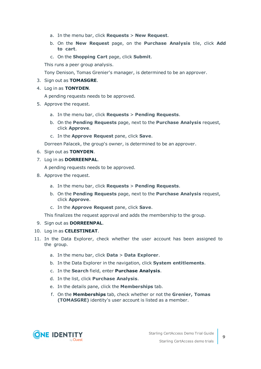- a. In the menu bar, click **Requests** > **New Request**.
- b. On the **New Request** page, on the **Purchase Analysis** tile, click **Add to cart**.
- c. On the **Shopping Cart** page, click **Submit**.

This runs a peer group analysis.

Tony Denison, Tomas Grenier's manager, is determined to be an approver.

- 3. Sign out as **TOMASGRE**.
- 4. Log in as **TONYDEN**.

A pending requests needs to be approved.

- 5. Approve the request.
	- a. In the menu bar, click **Requests** > **Pending Requests**.
	- b. On the **Pending Requests** page, next to the **Purchase Analysis** request, click **Approve**.
	- c. In the **Approve Request** pane, click **Save**.

Dorreen Palacek, the group's owner, is determined to be an approver.

- 6. Sign out as **TONYDEN**.
- 7. Log in as **DORREENPAL**.

A pending requests needs to be approved.

- 8. Approve the request.
	- a. In the menu bar, click **Requests** > **Pending Requests**.
	- b. On the **Pending Requests** page, next to the **Purchase Analysis** request, click **Approve**.
	- c. In the **Approve Request** pane, click **Save**.

This finalizes the request approval and adds the membership to the group.

- 9. Sign out as **DORREENPAL**.
- 10. Log in as **CELESTINEAT**.
- 11. In the Data Explorer, check whether the user account has been assigned to the group.
	- a. In the menu bar, click **Data** > **Data Explorer**.
	- b. In the Data Explorer in the navigation, click **System entitlements**.
	- c. In the **Search** field, enter **Purchase Analysis**.
	- d. In the list, click **Purchase Analysis**.
	- e. In the details pane, click the **Memberships** tab.
	- f. On the **Memberships** tab, check whether or not the **Grenier, Tomas (TOMASGRE)** identity's user account is listed as a member.

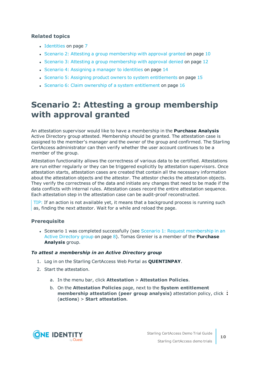#### **Related topics**

- [Identities](#page-6-0) on page 7
- Scenario 2: Attesting a group [membership](#page-9-0) with approval granted on page 10
- Scenario 3: Attesting a group [membership](#page-11-0) with approval denied on page 12
- Scenario 4: [Assigning](#page-13-0) a manager to identities on page 14
- Scenario 5: Assigning product owners to system [entitlements](#page-14-0) on page 15
- Scenario 6: Claim ownership of a system [entitlement](#page-15-0) on page 16

### <span id="page-9-0"></span>**Scenario 2: Attesting a group membership with approval granted**

An attestation supervisor would like to have a membership in the **Purchase Analysis** Active Directory group attested. Membership should be granted. The attestation case is assigned to the member's manager and the owner of the group and confirmed. The Starling CertAccess administrator can then verify whether the user account continues to be a member of the group.

Attestation functionality allows the correctness of various data to be certified. Attestations are run either regularly or they can be triggered explicitly by attestation supervisors. Once attestation starts, attestation cases are created that contain all the necessary information about the attestation objects and the attestor. The attestor checks the attestation objects. They verify the correctness of the data and initiate any changes that need to be made if the data conflicts with internal rules. Attestation cases record the entire attestation sequence. Each attestation step in the attestation case can be audit-proof reconstructed.

TIP: If an action is not available yet, it means that a background process is running such as, finding the next attestor. Wait for a while and reload the page.

#### **Prerequisite**

• Scenario 1 was completed successfully (see Scenario 1: Request [membership](#page-7-0) in an Active [Directory](#page-7-0) group on page 8). Tomas Grenier is a member of the **Purchase Analysis** group.

#### *To attest a membership in an Active Directory group*

- 1. Log in on the Starling CertAccess Web Portal as **QUENTINPAY**.
- 2. Start the attestation.
	- a. In the menu bar, click **Attestation** > **Attestation Policies**.
	- b. On the **Attestation Policies** page, next to the **System entitlement membership attestation (peer group analysis)** attestation policy, click (**actions**) > **Start attestation**.

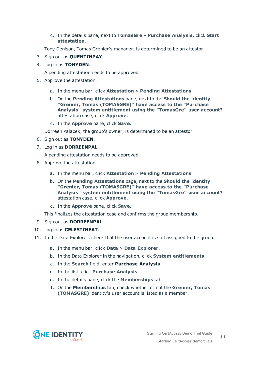c. In the details pane, next to **TomasGre - Purchase Analysis**, click **Start attestation**.

Tony Denison, Tomas Grenier's manager, is determined to be an attestor.

- 3. Sign out as **QUENTINPAY**.
- 4. Log in as **TONYDEN**.

A pending attestation needs to be approved.

- 5. Approve the attestation.
	- a. In the menu bar, click **Attestation** > **Pending Attestations**.
	- b. On the **Pending Attestations** page, next to the **Should the identity "Grenier, Tomas (TOMASGRE)" have access to the "Purchase Analysis" system entitlement using the "TomasGre" user account?** attestation case, click **Approve**.
	- c. In the **Approve** pane, click **Save**.

Dorreen Palacek, the group's owner, is determined to be an attestor.

- 6. Sign out as **TONYDEN**.
- 7. Log in as **DORREENPAL**.

A pending attestation needs to be approved.

- 8. Approve the attestation.
	- a. In the menu bar, click **Attestation** > **Pending Attestations**.
	- b. On the **Pending Attestations** page, next to the **Should the identity "Grenier, Tomas (TOMASGRE)" have access to the "Purchase Analysis" system entitlement using the "TomasGre" user account?** attestation case, click **Approve**.
	- c. In the **Approve** pane, click **Save**.

This finalizes the attestation case and confirms the group membership.

- 9. Sign out as **DORREENPAL**.
- 10. Log in as **CELESTINEAT**.
- 11. In the Data Explorer, check that the user account is still assigned to the group.
	- a. In the menu bar, click **Data** > **Data Explorer**.
	- b. In the Data Explorer in the navigation, click **System entitlements**.
	- c. In the **Search** field, enter **Purchase Analysis**.
	- d. In the list, click **Purchase Analysis**.
	- e. In the details pane, click the **Memberships** tab.
	- f. On the **Memberships** tab, check whether or not the **Grenier, Tomas (TOMASGRE)** identity's user account is listed as a member.

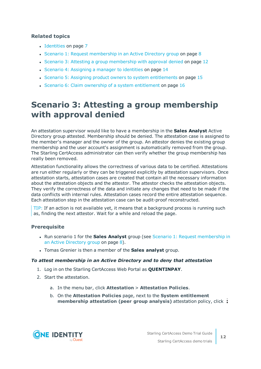#### **Related topics**

- [Identities](#page-6-0) on page 7
- Scenario 1: Request [membership](#page-7-0) in an Active Directory group on page 8
- Scenario 3: Attesting a group [membership](#page-11-0) with approval denied on page 12
- Scenario 4: [Assigning](#page-13-0) a manager to identities on page 14
- Scenario 5: Assigning product owners to system [entitlements](#page-14-0) on page 15
- Scenario 6: Claim ownership of a system [entitlement](#page-15-0) on page 16

## <span id="page-11-0"></span>**Scenario 3: Attesting a group membership with approval denied**

An attestation supervisor would like to have a membership in the **Sales Analyst** Active Directory group attested. Membership should be denied. The attestation case is assigned to the member's manager and the owner of the group. An attestor denies the existing group membership and the user account's assignment is automatically removed from the group. The Starling CertAccess administrator can then verify whether the group membership has really been removed.

Attestation functionality allows the correctness of various data to be certified. Attestations are run either regularly or they can be triggered explicitly by attestation supervisors. Once attestation starts, attestation cases are created that contain all the necessary information about the attestation objects and the attestor. The attestor checks the attestation objects. They verify the correctness of the data and initiate any changes that need to be made if the data conflicts with internal rules. Attestation cases record the entire attestation sequence. Each attestation step in the attestation case can be audit-proof reconstructed.

TIP: If an action is not available yet, it means that a background process is running such as, finding the next attestor. Wait for a while and reload the page.

#### **Prerequisite**

- **Run scenario 1 for the Sales Analyst** group (see Scenario 1: Request [membership](#page-7-0) in an Active [Directory](#page-7-0) group on page 8).
- <sup>l</sup> Tomas Grenier is then a member of the **Sales analyst** group.

#### *To attest membership in an Active Directory and to deny that attestation*

- 1. Log in on the Starling CertAccess Web Portal as **QUENTINPAY**.
- 2. Start the attestation.
	- a. In the menu bar, click **Attestation** > **Attestation Policies**.
	- b. On the **Attestation Policies** page, next to the **System entitlement membership attestation (peer group analysis)** attestation policy, click

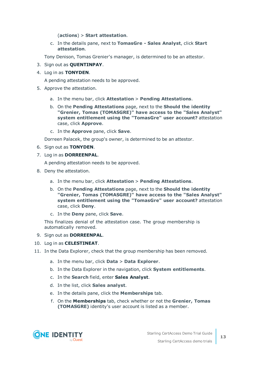(**actions**) > **Start attestation**.

c. In the details pane, next to **TomasGre - Sales Analyst**, click **Start attestation**.

Tony Denison, Tomas Grenier's manager, is determined to be an attestor.

- 3. Sign out as **QUENTINPAY**.
- 4. Log in as **TONYDEN**.

A pending attestation needs to be approved.

- 5. Approve the attestation.
	- a. In the menu bar, click **Attestation** > **Pending Attestations**.
	- b. On the **Pending Attestations** page, next to the **Should the identity "Grenier, Tomas (TOMASGRE)" have access to the "Sales Analyst" system entitlement using the "TomasGre" user account?** attestation case, click **Approve**.
	- c. In the **Approve** pane, click **Save**.

Dorreen Palacek, the group's owner, is determined to be an attestor.

- 6. Sign out as **TONYDEN**.
- 7. Log in as **DORREENPAL**.

A pending attestation needs to be approved.

- 8. Deny the attestation.
	- a. In the menu bar, click **Attestation** > **Pending Attestations**.
	- b. On the **Pending Attestations** page, next to the **Should the identity "Grenier, Tomas (TOMASGRE)" have access to the "Sales Analyst" system entitlement using the "TomasGre" user account?** attestation case, click **Deny**.
	- c. In the **Deny** pane, click **Save**.

This finalizes denial of the attestation case. The group membership is automatically removed.

- 9. Sign out as **DORREENPAL**.
- 10. Log in as **CELESTINEAT**.
- 11. In the Data Explorer, check that the group membership has been removed.
	- a. In the menu bar, click **Data** > **Data Explorer**.
	- b. In the Data Explorer in the navigation, click **System entitlements**.
	- c. In the **Search** field, enter **Sales Analyst**.
	- d. In the list, click **Sales analyst**.
	- e. In the details pane, click the **Memberships** tab.
	- f. On the **Memberships** tab, check whether or not the **Grenier, Tomas (TOMASGRE)** identity's user account is listed as a member.

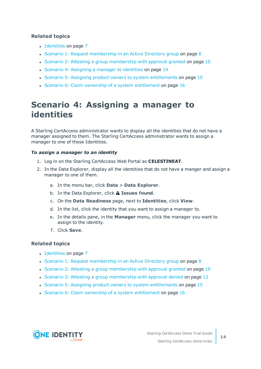#### **Related topics**

- [Identities](#page-6-0) on page 7
- Scenario 1: Request [membership](#page-7-0) in an Active Directory group on page 8
- Scenario 2: Attesting a group [membership](#page-9-0) with approval granted on page 10
- Scenario 4: [Assigning](#page-13-0) a manager to identities on page 14
- Scenario 5: Assigning product owners to system [entitlements](#page-14-0) on page 15
- Scenario 6: Claim ownership of a system [entitlement](#page-15-0) on page 16

### <span id="page-13-0"></span>**Scenario 4: Assigning a manager to identities**

A Starling CertAccess administrator wants to display all the identities that do not have a manager assigned to them. The Starling CertAccess administrator wants to assign a manager to one of these Identities.

#### *To assign a manager to an identity*

- 1. Log in on the Starling CertAccess Web Portal as **CELESTINEAT**.
- 2. In the Data Explorer, display all the identities that do not have a manger and assign a manager to one of them.
	- a. In the menu bar, click **Data** > **Data Explorer**.
	- b. In the Data Explorer, click **Issues found**.
	- c. On the **Data Readiness** page, next to **Identities**, click **View**.
	- d. In the list, click the identity that you want to assign a manager to.
	- e. In the details pane, in the **Manager** menu, click the manager you want to assign to the identity.
	- f. Click **Save**.

#### **Related topics**

- [Identities](#page-6-0) on page 7
- Scenario 1: Request [membership](#page-7-0) in an Active Directory group on page 8
- Scenario 2: Attesting a group [membership](#page-9-0) with approval granted on page  $10$
- Scenario 3: Attesting a group [membership](#page-11-0) with approval denied on page 12
- Scenario 5: Assigning product owners to system [entitlements](#page-14-0) on page 15
- Scenario 6: Claim ownership of a system [entitlement](#page-15-0) on page  $16$

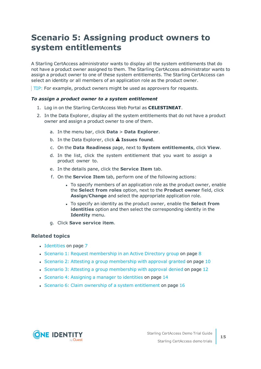## <span id="page-14-0"></span>**Scenario 5: Assigning product owners to system entitlements**

A Starling CertAccess administrator wants to display all the system entitlements that do not have a product owner assigned to them. The Starling CertAccess administrator wants to assign a product owner to one of these system entitlements. The Starling CertAccess can select an identity or all members of an application role as the product owner.

TIP: For example, product owners might be used as approvers for requests.

#### *To assign a product owner to a system entitlement*

- 1. Log in on the Starling CertAccess Web Portal as **CELESTINEAT**.
- 2. In the Data Explorer, display all the system entitlements that do not have a product owner and assign a product owner to one of them.
	- a. In the menu bar, click **Data** > **Data Explorer**.
	- b. In the Data Explorer, click **Issues found**.
	- c. On the **Data Readiness** page, next to **System entitlements**, click **View**.
	- d. In the list, click the system entitlement that you want to assign a product owner to.
	- e. In the details pane, click the **Service Item** tab.
	- f. On the **Service Item** tab, perform one of the following actions:
		- To specify members of an application role as the product owner, enable the **Select from roles** option, next to the **Product owner** field, click **Assign**/**Change** and select the appropriate application role.
		- <sup>l</sup> To specify an identity as the product owner, enable the **Select from identities** option and then select the corresponding identity in the **Identity** menu.
	- g. Click **Save service item**.

#### **Related topics**

- [Identities](#page-6-0) on page 7
- Scenario 1: Request [membership](#page-7-0) in an Active Directory group on page 8
- Scenario 2: Attesting a group [membership](#page-9-0) with approval granted on page 10
- Scenario 3: Attesting a group [membership](#page-11-0) with approval denied on page 12
- Scenario 4: [Assigning](#page-13-0) a manager to identities on page 14
- Scenario 6: Claim ownership of a system [entitlement](#page-15-0) on page 16

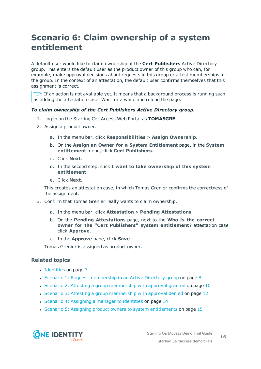## <span id="page-15-0"></span>**Scenario 6: Claim ownership of a system entitlement**

A default user would like to claim ownership of the **Cert Publishers** Active Directory group. This enters the default user as the product owner of this group who can, for example, make approval decisions about requests in this group or attest memberships in the group. In the context of an attestation, the default user confirms themselves that this assignment is correct.

TIP: If an action is not available yet, it means that a background process is running such as adding the attestation case. Wait for a while and reload the page.

#### *To claim ownership of the Cert Publishers Active Directory group.*

- 1. Log in on the Starling CertAccess Web Portal as **TOMASGRE**.
- 2. Assign a product owner.
	- a. In the menu bar, click **Responsibilities** > **Assign Ownership**.
	- b. On the **Assign an Owner for a System Entitlement** page, in the **System entitlement** menu, click **Cert Publishers**.
	- c. Click **Next**.
	- d. In the second step, click **I want to take ownership of this system entitlement**.
	- e. Click **Next**.

This creates an attestation case, in which Tomas Grenier confirms the correctness of the assignment.

- 3. Confirm that Tomas Grenier really wants to claim ownership.
	- a. In the menu bar, click **Attestation** > **Pending Attestations**.
	- b. On the **Pending Attestation**s page, next to the **Who is the correct owner for the "Cert Publishers" system entitlement?** attestation case click **Approve**.
	- c. In the **Approve** pane, click **Save**.

Tomas Grenier is assigned as product owner.

#### **Related topics**

- [Identities](#page-6-0) on page 7
- Scenario 1: Request [membership](#page-7-0) in an Active Directory group on page 8
- Scenario 2: Attesting a group [membership](#page-9-0) with approval granted on page 10
- Scenario 3: Attesting a group [membership](#page-11-0) with approval denied on page 12
- Scenario 4: [Assigning](#page-13-0) a manager to identities on page 14
- Scenario 5: Assigning product owners to system [entitlements](#page-14-0) on page 15

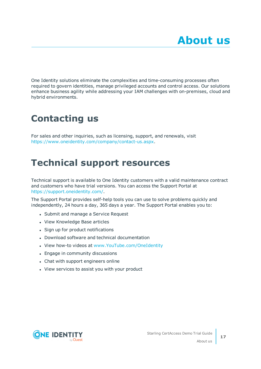<span id="page-16-0"></span>One Identity solutions eliminate the complexities and time-consuming processes often required to govern identities, manage privileged accounts and control access. Our solutions enhance business agility while addressing your IAM challenges with on-premises, cloud and hybrid environments.

# <span id="page-16-1"></span>**Contacting us**

For sales and other inquiries, such as licensing, support, and renewals, visit <https://www.oneidentity.com/company/contact-us.aspx>.

# <span id="page-16-2"></span>**Technical support resources**

Technical support is available to One Identity customers with a valid maintenance contract and customers who have trial versions. You can access the Support Portal at [https://support.oneidentity.com/.](https://support.oneidentity.com/)

The Support Portal provides self-help tools you can use to solve problems quickly and independently, 24 hours a day, 365 days a year. The Support Portal enables you to:

- Submit and manage a Service Request
- View Knowledge Base articles
- Sign up for product notifications
- Download software and technical documentation
- View how-to videos at [www.YouTube.com/OneIdentity](http://www.youtube.com/OneIdentity)
- Engage in community discussions
- Chat with support engineers online
- View services to assist you with your product